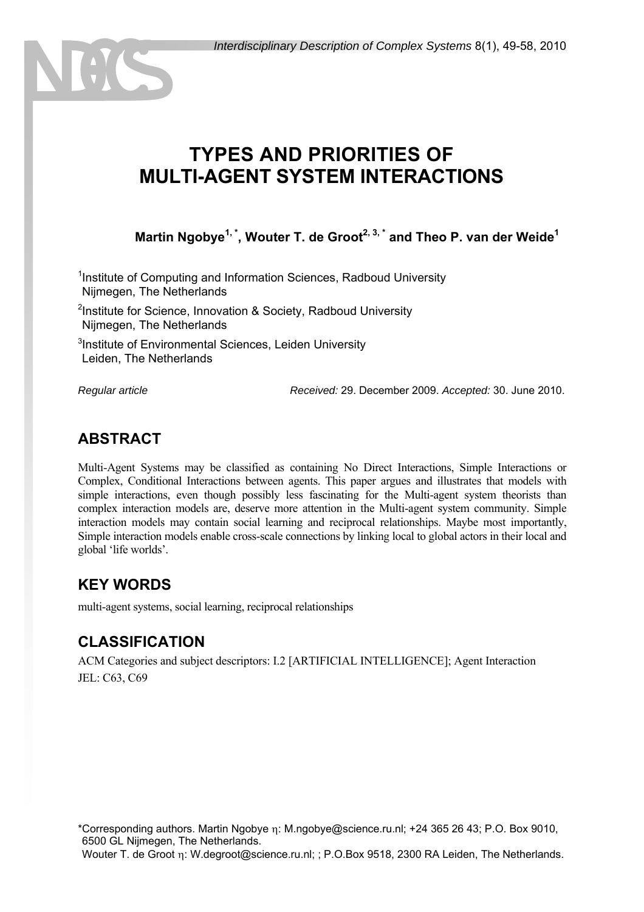# **TYPES AND PRIORITIES OF MULTI-AGENT SYSTEM INTERACTIONS**

Martin Ngobye<sup>1,\*</sup>, Wouter T. de Groot<sup>2, 3,\*</sup> and Theo P. van der Weide<sup>1</sup>

<sup>1</sup>Institute of Computing and Information Sciences, Radboud University 1 Nijmegen, The Netherlands

<sup>2</sup>Institute for Science, Innovation & Society, Radboud University 1 Nijmegen, The Netherlands

<sup>3</sup>Institute of Environmental Sciences, Leiden University Leiden, The Netherlands

*Regular article Received:* 29. December 2009. *Accepted:* 30. June 2010.

### **ABSTRACT**

Multi-Agent Systems may be classified as containing No Direct Interactions, Simple Interactions or Complex, Conditional Interactions between agents. This paper argues and illustrates that models with simple interactions, even though possibly less fascinating for the Multi-agent system theorists than complex interaction models are, deserve more attention in the Multi-agent system community. Simple interaction models may contain social learning and reciprocal relationships. Maybe most importantly, Simple interaction models enable cross-scale connections by linking local to global actors in their local and global 'life worlds'.

### **KEY WORDS**

multi-agent systems, social learning, reciprocal relationships

### **CLASSIFICATION**

ACM Categories and subject descriptors: I.2 [ARTIFICIAL INTELLIGENCE]; Agent Interaction JEL: C63, C69

\*Corresponding authors. Martin Ngobye η: M.ngobye@science.ru.nl; +24 365 26 43; P.O. Box 9010, 6500 GL Nijmegen, The Netherlands.

Wouter T. de Groot η: W.degroot@science.ru.nl; ; P.O.Box 9518, 2300 RA Leiden, The Netherlands.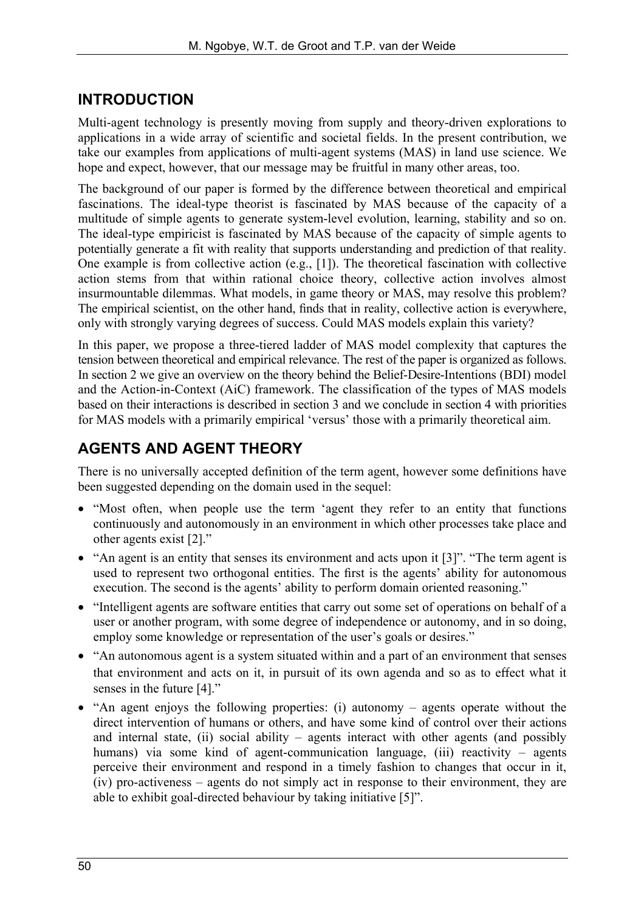## **INTRODUCTION**

Multi-agent technology is presently moving from supply and theory-driven explorations to applications in a wide array of scientific and societal fields. In the present contribution, we take our examples from applications of multi-agent systems (MAS) in land use science. We hope and expect, however, that our message may be fruitful in many other areas, too.

The background of our paper is formed by the difference between theoretical and empirical fascinations. The ideal-type theorist is fascinated by MAS because of the capacity of a multitude of simple agents to generate system-level evolution, learning, stability and so on. The ideal-type empiricist is fascinated by MAS because of the capacity of simple agents to potentially generate a fit with reality that supports understanding and prediction of that reality. One example is from collective action (e.g., [1]). The theoretical fascination with collective action stems from that within rational choice theory, collective action involves almost insurmountable dilemmas. What models, in game theory or MAS, may resolve this problem? The empirical scientist, on the other hand, finds that in reality, collective action is everywhere, only with strongly varying degrees of success. Could MAS models explain this variety?

In this paper, we propose a three-tiered ladder of MAS model complexity that captures the tension between theoretical and empirical relevance. The rest of the paper is organized as follows. In section 2 we give an overview on the theory behind the Belief-Desire-Intentions (BDI) model and the Action-in-Context (AiC) framework. The classification of the types of MAS models based on their interactions is described in section 3 and we conclude in section 4 with priorities for MAS models with a primarily empirical 'versus' those with a primarily theoretical aim.

## **AGENTS AND AGENT THEORY**

There is no universally accepted definition of the term agent, however some definitions have been suggested depending on the domain used in the sequel:

- "Most often, when people use the term 'agent they refer to an entity that functions continuously and autonomously in an environment in which other processes take place and other agents exist [2]."
- "An agent is an entity that senses its environment and acts upon it [3]". "The term agent is used to represent two orthogonal entities. The first is the agents' ability for autonomous execution. The second is the agents' ability to perform domain oriented reasoning."
- "Intelligent agents are software entities that carry out some set of operations on behalf of a user or another program, with some degree of independence or autonomy, and in so doing, employ some knowledge or representation of the user's goals or desires."
- "An autonomous agent is a system situated within and a part of an environment that senses that environment and acts on it, in pursuit of its own agenda and so as to effect what it senses in the future [4]."
- "An agent enjoys the following properties: (i) autonomy agents operate without the direct intervention of humans or others, and have some kind of control over their actions and internal state, (ii) social ability – agents interact with other agents (and possibly humans) via some kind of agent-communication language, (iii) reactivity – agents perceive their environment and respond in a timely fashion to changes that occur in it, (iv) pro-activeness – agents do not simply act in response to their environment, they are able to exhibit goal-directed behaviour by taking initiative [5]".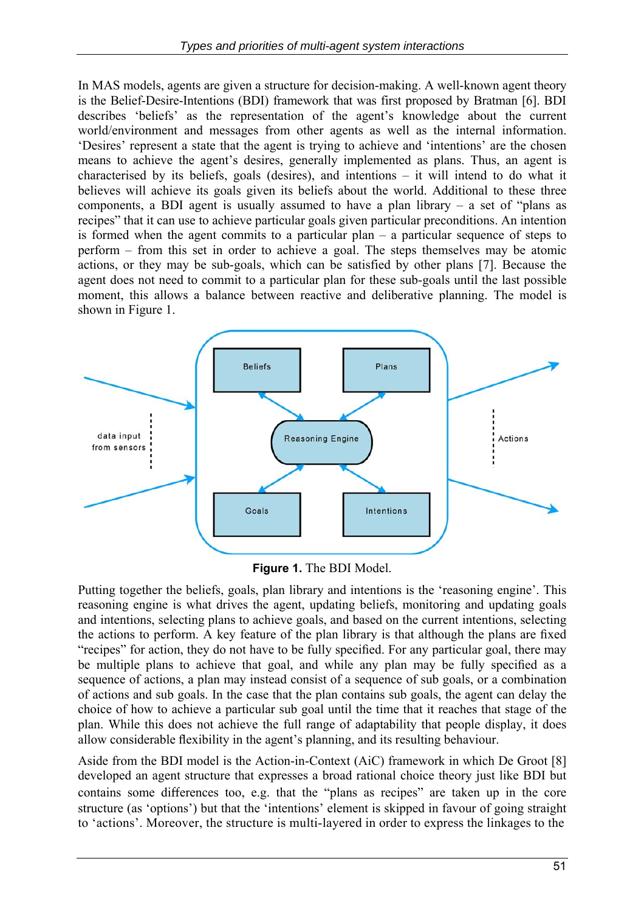In MAS models, agents are given a structure for decision-making. A well-known agent theory is the Belief-Desire-Intentions (BDI) framework that was first proposed by Bratman [6]. BDI describes 'beliefs' as the representation of the agent's knowledge about the current world/environment and messages from other agents as well as the internal information. 'Desires' represent a state that the agent is trying to achieve and 'intentions' are the chosen means to achieve the agent's desires, generally implemented as plans. Thus, an agent is characterised by its beliefs, goals (desires), and intentions – it will intend to do what it believes will achieve its goals given its beliefs about the world. Additional to these three components, a BDI agent is usually assumed to have a plan library  $-$  a set of "plans as recipes" that it can use to achieve particular goals given particular preconditions. An intention is formed when the agent commits to a particular plan – a particular sequence of steps to perform – from this set in order to achieve a goal. The steps themselves may be atomic actions, or they may be sub-goals, which can be satisfied by other plans [7]. Because the agent does not need to commit to a particular plan for these sub-goals until the last possible moment, this allows a balance between reactive and deliberative planning. The model is shown in Figure 1.



**Figure 1.** The BDI Model.

Putting together the beliefs, goals, plan library and intentions is the 'reasoning engine'. This reasoning engine is what drives the agent, updating beliefs, monitoring and updating goals and intentions, selecting plans to achieve goals, and based on the current intentions, selecting the actions to perform. A key feature of the plan library is that although the plans are fixed "recipes" for action, they do not have to be fully specified. For any particular goal, there may be multiple plans to achieve that goal, and while any plan may be fully specified as a sequence of actions, a plan may instead consist of a sequence of sub goals, or a combination of actions and sub goals. In the case that the plan contains sub goals, the agent can delay the choice of how to achieve a particular sub goal until the time that it reaches that stage of the plan. While this does not achieve the full range of adaptability that people display, it does allow considerable flexibility in the agent's planning, and its resulting behaviour.

Aside from the BDI model is the Action-in-Context (AiC) framework in which De Groot [8] developed an agent structure that expresses a broad rational choice theory just like BDI but contains some differences too, e.g. that the "plans as recipes" are taken up in the core structure (as 'options') but that the 'intentions' element is skipped in favour of going straight to 'actions'. Moreover, the structure is multi-layered in order to express the linkages to the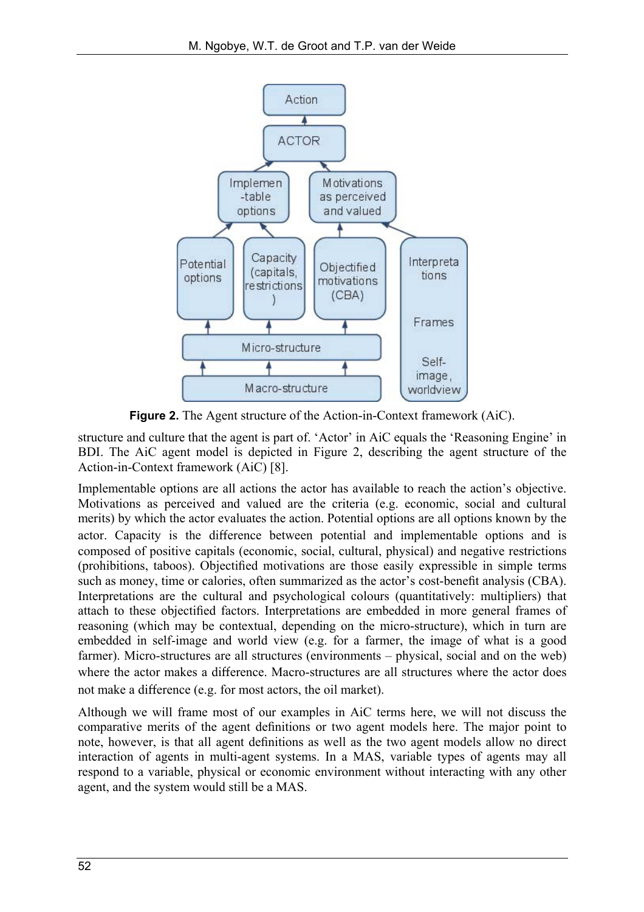

**Figure 2.** The Agent structure of the Action-in-Context framework (AiC).

structure and culture that the agent is part of. 'Actor' in AiC equals the 'Reasoning Engine' in BDI. The AiC agent model is depicted in Figure 2, describing the agent structure of the Action-in-Context framework (AiC) [8].

Implementable options are all actions the actor has available to reach the action's objective. Motivations as perceived and valued are the criteria (e.g. economic, social and cultural merits) by which the actor evaluates the action. Potential options are all options known by the actor. Capacity is the difference between potential and implementable options and is composed of positive capitals (economic, social, cultural, physical) and negative restrictions (prohibitions, taboos). Objectified motivations are those easily expressible in simple terms such as money, time or calories, often summarized as the actor's cost-benefit analysis (CBA). Interpretations are the cultural and psychological colours (quantitatively: multipliers) that attach to these objectified factors. Interpretations are embedded in more general frames of reasoning (which may be contextual, depending on the micro-structure), which in turn are embedded in self-image and world view (e.g. for a farmer, the image of what is a good farmer). Micro-structures are all structures (environments – physical, social and on the web) where the actor makes a difference. Macro-structures are all structures where the actor does not make a difference (e.g. for most actors, the oil market).

Although we will frame most of our examples in AiC terms here, we will not discuss the comparative merits of the agent definitions or two agent models here. The major point to note, however, is that all agent definitions as well as the two agent models allow no direct interaction of agents in multi-agent systems. In a MAS, variable types of agents may all respond to a variable, physical or economic environment without interacting with any other agent, and the system would still be a MAS.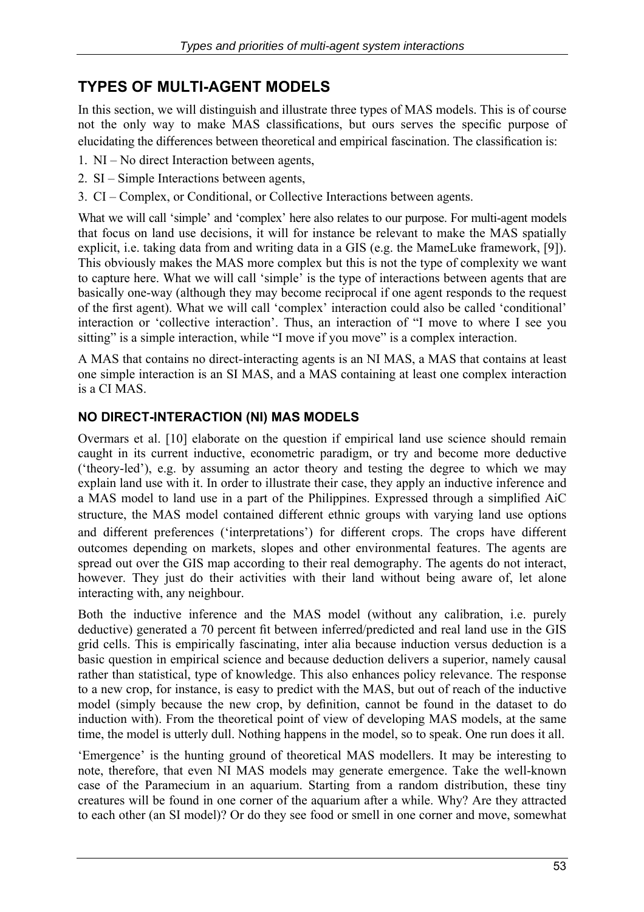## **TYPES OF MULTI-AGENT MODELS**

In this section, we will distinguish and illustrate three types of MAS models. This is of course not the only way to make MAS classifications, but ours serves the specific purpose of elucidating the differences between theoretical and empirical fascination. The classification is:

- 1. NI No direct Interaction between agents,
- 2. SI Simple Interactions between agents,
- 3. CI Complex, or Conditional, or Collective Interactions between agents.

What we will call 'simple' and 'complex' here also relates to our purpose. For multi-agent models that focus on land use decisions, it will for instance be relevant to make the MAS spatially explicit, i.e. taking data from and writing data in a GIS (e.g. the MameLuke framework, [9]). This obviously makes the MAS more complex but this is not the type of complexity we want to capture here. What we will call 'simple' is the type of interactions between agents that are basically one-way (although they may become reciprocal if one agent responds to the request of the first agent). What we will call 'complex' interaction could also be called 'conditional' interaction or 'collective interaction'. Thus, an interaction of "I move to where I see you sitting" is a simple interaction, while "I move if you move" is a complex interaction.

A MAS that contains no direct-interacting agents is an NI MAS, a MAS that contains at least one simple interaction is an SI MAS, and a MAS containing at least one complex interaction is a CI MAS.

#### **NO DIRECT-INTERACTION (NI) MAS MODELS**

Overmars et al. [10] elaborate on the question if empirical land use science should remain caught in its current inductive, econometric paradigm, or try and become more deductive ('theory-led'), e.g. by assuming an actor theory and testing the degree to which we may explain land use with it. In order to illustrate their case, they apply an inductive inference and a MAS model to land use in a part of the Philippines. Expressed through a simplified AiC structure, the MAS model contained different ethnic groups with varying land use options and different preferences ('interpretations') for different crops. The crops have different outcomes depending on markets, slopes and other environmental features. The agents are spread out over the GIS map according to their real demography. The agents do not interact, however. They just do their activities with their land without being aware of, let alone interacting with, any neighbour.

Both the inductive inference and the MAS model (without any calibration, i.e. purely deductive) generated a 70 percent fit between inferred/predicted and real land use in the GIS grid cells. This is empirically fascinating, inter alia because induction versus deduction is a basic question in empirical science and because deduction delivers a superior, namely causal rather than statistical, type of knowledge. This also enhances policy relevance. The response to a new crop, for instance, is easy to predict with the MAS, but out of reach of the inductive model (simply because the new crop, by definition, cannot be found in the dataset to do induction with). From the theoretical point of view of developing MAS models, at the same time, the model is utterly dull. Nothing happens in the model, so to speak. One run does it all.

'Emergence' is the hunting ground of theoretical MAS modellers. It may be interesting to note, therefore, that even NI MAS models may generate emergence. Take the well-known case of the Paramecium in an aquarium. Starting from a random distribution, these tiny creatures will be found in one corner of the aquarium after a while. Why? Are they attracted to each other (an SI model)? Or do they see food or smell in one corner and move, somewhat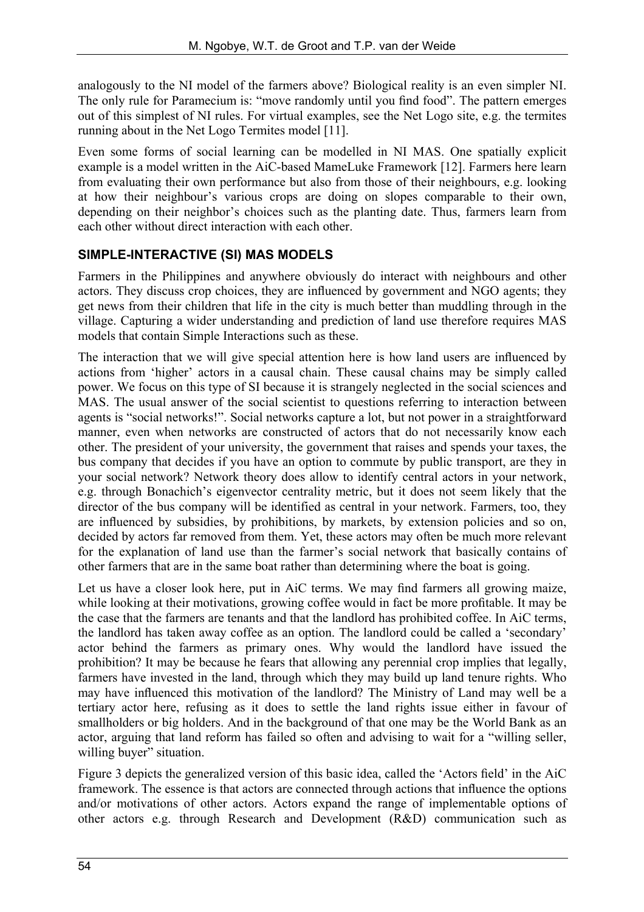analogously to the NI model of the farmers above? Biological reality is an even simpler NI. The only rule for Paramecium is: "move randomly until you find food". The pattern emerges out of this simplest of NI rules. For virtual examples, see the Net Logo site, e.g. the termites running about in the Net Logo Termites model [11].

Even some forms of social learning can be modelled in NI MAS. One spatially explicit example is a model written in the AiC-based MameLuke Framework [12]. Farmers here learn from evaluating their own performance but also from those of their neighbours, e.g. looking at how their neighbour's various crops are doing on slopes comparable to their own, depending on their neighbor's choices such as the planting date. Thus, farmers learn from each other without direct interaction with each other.

#### **SIMPLE-INTERACTIVE (SI) MAS MODELS**

Farmers in the Philippines and anywhere obviously do interact with neighbours and other actors. They discuss crop choices, they are influenced by government and NGO agents; they get news from their children that life in the city is much better than muddling through in the village. Capturing a wider understanding and prediction of land use therefore requires MAS models that contain Simple Interactions such as these.

The interaction that we will give special attention here is how land users are influenced by actions from 'higher' actors in a causal chain. These causal chains may be simply called power. We focus on this type of SI because it is strangely neglected in the social sciences and MAS. The usual answer of the social scientist to questions referring to interaction between agents is "social networks!". Social networks capture a lot, but not power in a straightforward manner, even when networks are constructed of actors that do not necessarily know each other. The president of your university, the government that raises and spends your taxes, the bus company that decides if you have an option to commute by public transport, are they in your social network? Network theory does allow to identify central actors in your network, e.g. through Bonachich's eigenvector centrality metric, but it does not seem likely that the director of the bus company will be identified as central in your network. Farmers, too, they are influenced by subsidies, by prohibitions, by markets, by extension policies and so on, decided by actors far removed from them. Yet, these actors may often be much more relevant for the explanation of land use than the farmer's social network that basically contains of other farmers that are in the same boat rather than determining where the boat is going.

Let us have a closer look here, put in AiC terms. We may find farmers all growing maize, while looking at their motivations, growing coffee would in fact be more profitable. It may be the case that the farmers are tenants and that the landlord has prohibited coffee. In AiC terms, the landlord has taken away coffee as an option. The landlord could be called a 'secondary' actor behind the farmers as primary ones. Why would the landlord have issued the prohibition? It may be because he fears that allowing any perennial crop implies that legally, farmers have invested in the land, through which they may build up land tenure rights. Who may have influenced this motivation of the landlord? The Ministry of Land may well be a tertiary actor here, refusing as it does to settle the land rights issue either in favour of smallholders or big holders. And in the background of that one may be the World Bank as an actor, arguing that land reform has failed so often and advising to wait for a "willing seller, willing buyer" situation.

Figure 3 depicts the generalized version of this basic idea, called the 'Actors field' in the AiC framework. The essence is that actors are connected through actions that influence the options and/or motivations of other actors. Actors expand the range of implementable options of other actors e.g. through Research and Development (R&D) communication such as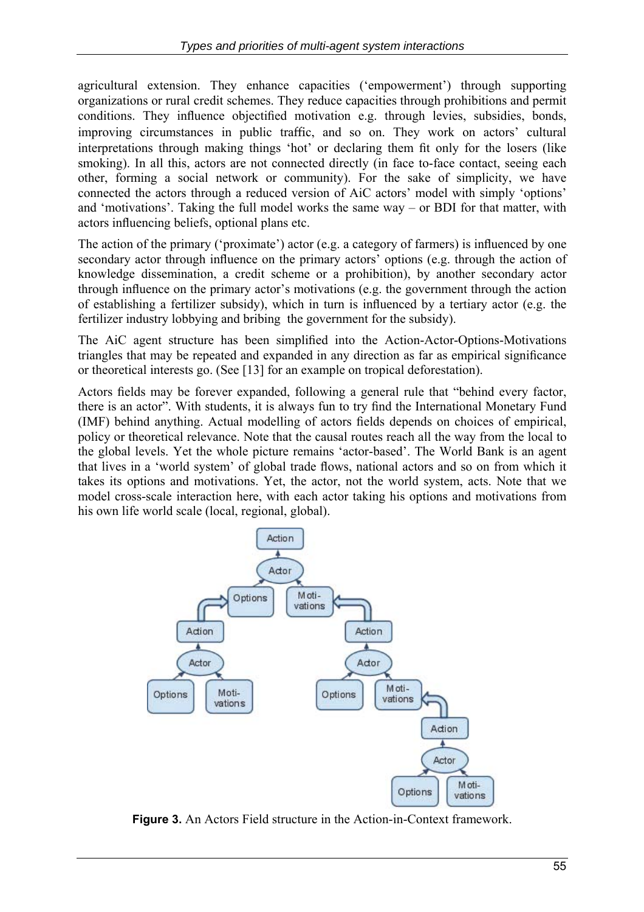agricultural extension. They enhance capacities ('empowerment') through supporting organizations or rural credit schemes. They reduce capacities through prohibitions and permit conditions. They influence objectified motivation e.g. through levies, subsidies, bonds, improving circumstances in public traffic, and so on. They work on actors' cultural interpretations through making things 'hot' or declaring them fit only for the losers (like smoking). In all this, actors are not connected directly (in face to-face contact, seeing each other, forming a social network or community). For the sake of simplicity, we have connected the actors through a reduced version of AiC actors' model with simply 'options' and 'motivations'. Taking the full model works the same way – or BDI for that matter, with actors influencing beliefs, optional plans etc.

The action of the primary ('proximate') actor (e.g. a category of farmers) is influenced by one secondary actor through influence on the primary actors' options (e.g. through the action of knowledge dissemination, a credit scheme or a prohibition), by another secondary actor through influence on the primary actor's motivations (e.g. the government through the action of establishing a fertilizer subsidy), which in turn is influenced by a tertiary actor (e.g. the fertilizer industry lobbying and bribing the government for the subsidy).

The AiC agent structure has been simplified into the Action-Actor-Options-Motivations triangles that may be repeated and expanded in any direction as far as empirical significance or theoretical interests go. (See [13] for an example on tropical deforestation).

Actors fields may be forever expanded, following a general rule that "behind every factor, there is an actor". With students, it is always fun to try find the International Monetary Fund (IMF) behind anything. Actual modelling of actors fields depends on choices of empirical, policy or theoretical relevance. Note that the causal routes reach all the way from the local to the global levels. Yet the whole picture remains 'actor-based'. The World Bank is an agent that lives in a 'world system' of global trade flows, national actors and so on from which it takes its options and motivations. Yet, the actor, not the world system, acts. Note that we model cross-scale interaction here, with each actor taking his options and motivations from his own life world scale (local, regional, global).



**Figure 3.** An Actors Field structure in the Action-in-Context framework.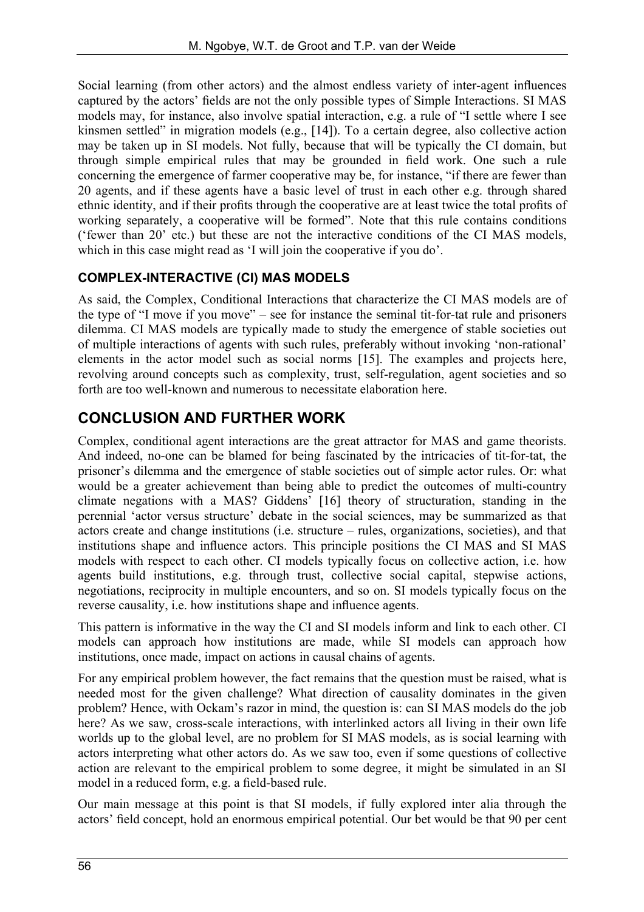Social learning (from other actors) and the almost endless variety of inter-agent influences captured by the actors' fields are not the only possible types of Simple Interactions. SI MAS models may, for instance, also involve spatial interaction, e.g. a rule of "I settle where I see kinsmen settled" in migration models (e.g., [14]). To a certain degree, also collective action may be taken up in SI models. Not fully, because that will be typically the CI domain, but through simple empirical rules that may be grounded in field work. One such a rule concerning the emergence of farmer cooperative may be, for instance, "if there are fewer than 20 agents, and if these agents have a basic level of trust in each other e.g. through shared ethnic identity, and if their profits through the cooperative are at least twice the total profits of working separately, a cooperative will be formed". Note that this rule contains conditions ('fewer than 20' etc.) but these are not the interactive conditions of the CI MAS models, which in this case might read as 'I will join the cooperative if you do'.

#### **COMPLEX-INTERACTIVE (CI) MAS MODELS**

As said, the Complex, Conditional Interactions that characterize the CI MAS models are of the type of "I move if you move" – see for instance the seminal tit-for-tat rule and prisoners dilemma. CI MAS models are typically made to study the emergence of stable societies out of multiple interactions of agents with such rules, preferably without invoking 'non-rational' elements in the actor model such as social norms [15]. The examples and projects here, revolving around concepts such as complexity, trust, self-regulation, agent societies and so forth are too well-known and numerous to necessitate elaboration here.

## **CONCLUSION AND FURTHER WORK**

Complex, conditional agent interactions are the great attractor for MAS and game theorists. And indeed, no-one can be blamed for being fascinated by the intricacies of tit-for-tat, the prisoner's dilemma and the emergence of stable societies out of simple actor rules. Or: what would be a greater achievement than being able to predict the outcomes of multi-country climate negations with a MAS? Giddens' [16] theory of structuration, standing in the perennial 'actor versus structure' debate in the social sciences, may be summarized as that actors create and change institutions (i.e. structure – rules, organizations, societies), and that institutions shape and influence actors. This principle positions the CI MAS and SI MAS models with respect to each other. CI models typically focus on collective action, i.e. how agents build institutions, e.g. through trust, collective social capital, stepwise actions, negotiations, reciprocity in multiple encounters, and so on. SI models typically focus on the reverse causality, i.e. how institutions shape and influence agents.

This pattern is informative in the way the CI and SI models inform and link to each other. CI models can approach how institutions are made, while SI models can approach how institutions, once made, impact on actions in causal chains of agents.

For any empirical problem however, the fact remains that the question must be raised, what is needed most for the given challenge? What direction of causality dominates in the given problem? Hence, with Ockam's razor in mind, the question is: can SI MAS models do the job here? As we saw, cross-scale interactions, with interlinked actors all living in their own life worlds up to the global level, are no problem for SI MAS models, as is social learning with actors interpreting what other actors do. As we saw too, even if some questions of collective action are relevant to the empirical problem to some degree, it might be simulated in an SI model in a reduced form, e.g. a field-based rule.

Our main message at this point is that SI models, if fully explored inter alia through the actors' field concept, hold an enormous empirical potential. Our bet would be that 90 per cent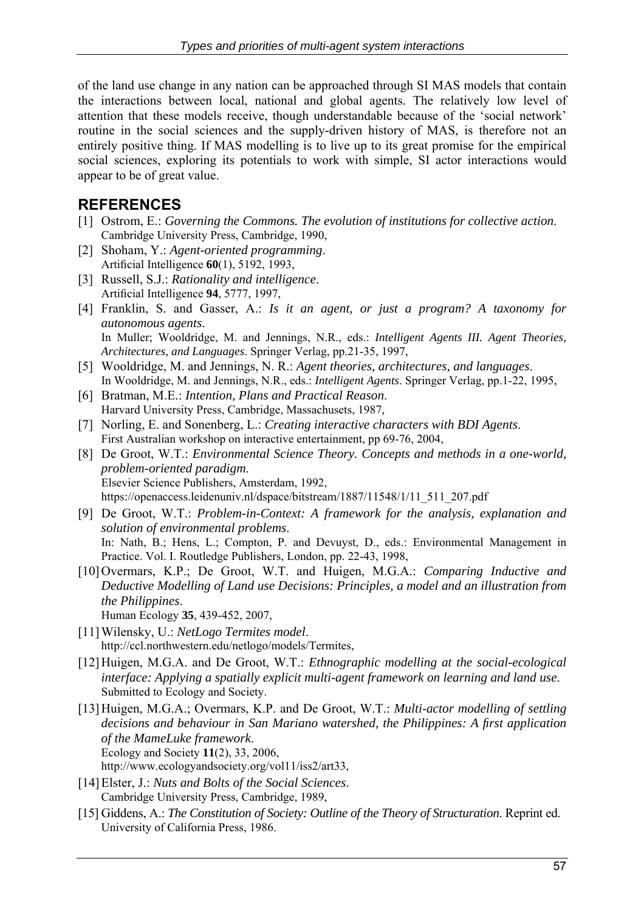of the land use change in any nation can be approached through SI MAS models that contain the interactions between local, national and global agents. The relatively low level of attention that these models receive, though understandable because of the 'social network' routine in the social sciences and the supply-driven history of MAS, is therefore not an entirely positive thing. If MAS modelling is to live up to its great promise for the empirical social sciences, exploring its potentials to work with simple, SI actor interactions would appear to be of great value.

## **REFERENCES**

- [1] Ostrom, E.: *Governing the Commons. The evolution of institutions for collective action*. Cambridge University Press, Cambridge, 1990,
- [2] Shoham, Y.: *Agent-oriented programming*. Artificial Intelligence **60**(1), 5192, 1993,
- [3] Russell, S.J.: *Rationality and intelligence*. Artificial Intelligence **94**, 5777, 1997,
- [4] Franklin, S. and Gasser, A.: *Is it an agent, or just a program? A taxonomy for autonomous agents*. In Muller; Wooldridge, M. and Jennings, N.R., eds.: *Intelligent Agents III. Agent Theories, Architectures, and Languages*. Springer Verlag, pp.21-35, 1997,
- [5] Wooldridge, M. and Jennings, N. R.: *Agent theories, architectures, and languages*. In Wooldridge, M. and Jennings, N.R., eds.: *Intelligent Agents*. Springer Verlag, pp.1-22, 1995,
- [6] Bratman, M.E.: *Intention, Plans and Practical Reason*. Harvard University Press, Cambridge, Massachusets, 1987,
- [7] Norling, E. and Sonenberg, L.: *Creating interactive characters with BDI Agents*. First Australian workshop on interactive entertainment, pp 69-76, 2004,
- [8] De Groot, W.T.: *Environmental Science Theory. Concepts and methods in a one-world, problem-oriented paradigm*. Elsevier Science Publishers, Amsterdam, 1992, https://openaccess.leidenuniv.nl/dspace/bitstream/1887/11548/1/11\_511\_207.pdf
- [9] De Groot, W.T.: *Problem-in-Context: A framework for the analysis, explanation and solution of environmental problems*. In: Nath, B.; Hens, L.; Compton, P. and Devuyst, D., eds.: Environmental Management in Practice. Vol. I. Routledge Publishers, London, pp. 22-43, 1998,
- [10]Overmars, K.P.; De Groot, W.T. and Huigen, M.G.A.: *Comparing Inductive and Deductive Modelling of Land use Decisions: Principles, a model and an illustration from the Philippines*. Human Ecology **35**, 439-452, 2007,
- [11]Wilensky, U.: *NetLogo Termites model*. http://ccl.northwestern.edu/netlogo/models/Termites,
- [12]Huigen, M.G.A. and De Groot, W.T.: *Ethnographic modelling at the social-ecological interface: Applying a spatially explicit multi-agent framework on learning and land use*. Submitted to Ecology and Society.
- [13]Huigen, M.G.A.; Overmars, K.P. and De Groot, W.T.: *Multi-actor modelling of settling decisions and behaviour in San Mariano watershed, the Philippines: A first application of the MameLuke framework*. Ecology and Society **11**(2), 33, 2006,
	- http://www.ecologyandsociety.org/vol11/iss2/art33,
- [14]Elster, J.: *Nuts and Bolts of the Social Sciences*. Cambridge University Press, Cambridge, 1989,
- [15] Giddens, A.: *The Constitution of Society: Outline of the Theory of Structuration*. Reprint ed. University of California Press, 1986.